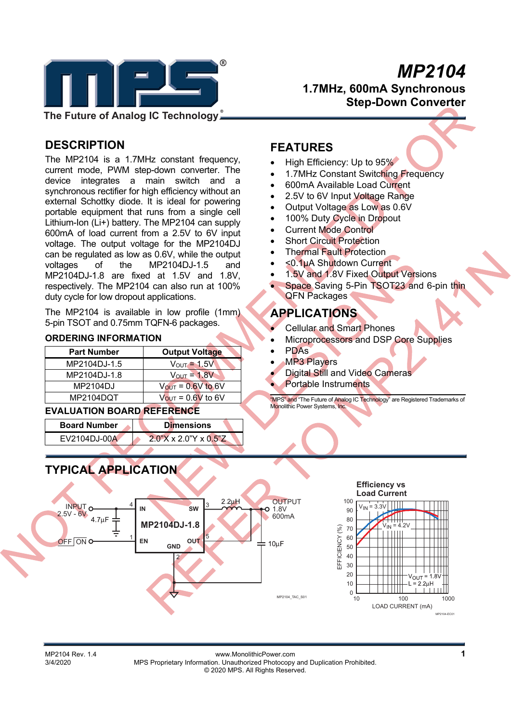

 $\bullet$  *MP2104* **1.7MHz, 600mA Synchronous Step-Down Converter** 

# **DESCRIPTION**

The MP2104 is a 1.7MHz constant frequency, current mode, PWM step-down converter. The device integrates a main switch and a synchronous rectifier for high efficiency without an external Schottky diode. It is ideal for powering portable equipment that runs from a single cell Lithium-Ion (Li+) battery. The MP2104 can supply 600mA of load current from a 2.5V to 6V input voltage. The output voltage for the MP2104DJ can be regulated as low as 0.6V, while the output voltages of the MP2104DJ-1.5 and MP2104DJ-1.8 are fixed at 1.5V and 1.8V, respectively. The MP2104 can also run at 100% duty cycle for low dropout applications.

The MP2104 is available in low profile (1mm) 5-pin TSOT and 0.75mm TQFN-6 packages.

#### **ORDERING INFORMATION**

| <b>Part Number</b> | <b>Output Voltage</b>         |
|--------------------|-------------------------------|
| MP2104DJ-1.5       | $V_{\text{OUT}} = 1.5V$       |
| MP2104DJ-1.8       | $V_{\text{OUT}} = 1.8V$       |
| MP2104DJ           | $V_{OUT} = 0.6V$ to 6V        |
| MP2104DQT          | $V_{\text{OUT}}$ = 0.6V to 6V |

## **EVALUATION BOARD REFERENCE**

| <b>Board Number</b> | <b>Dimensions</b>        |
|---------------------|--------------------------|
| EV2104DJ-00A        | $2.0$ "X x 2.0"Y x 0.5"Z |
|                     |                          |

# **TYPICAL APPLICATION**



- High Efficiency: Up to 95%
- 1.7MHz Constant Switching Frequency
- 600mA Available Load Current
- 2.5V to 6V Input Voltage Range
- Output Voltage as Low as 0.6V
- 100% Duty Cycle in Dropout
- Current Mode Control
- Short Circuit Protection
- Thermal Fault Protection
- <0.1μA Shutdown Current
- 1.5V and 1.8V Fixed Output Versions
- Space Saving 5-Pin TSOT23 and 6-pin thin QFN Packages

# **APPLICATIONS**

- Cellular and Smart Phones
- Microprocessors and DSP Core Supplies
- PDAs
- MP3 Players
	- Digital Still and Video Cameras
	- Portable Instruments

"MPS" and "The Future of Analog IC Technology" are Registered Trademarks of Monolithic Power Systems, Inc.



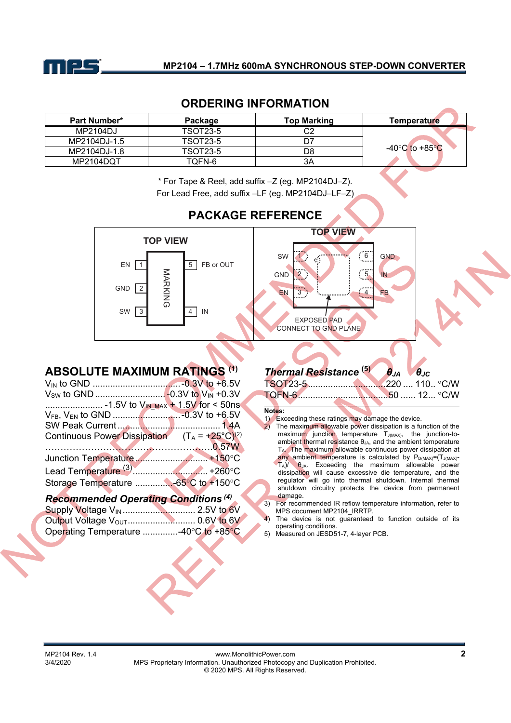

## **ORDERING INFORMATION**

| <b>Part Number*</b> | Package         | <b>Top Marking</b> | Temperature    |
|---------------------|-----------------|--------------------|----------------|
| MP2104DJ            | <b>TSOT23-5</b> | C2                 |                |
| MP2104DJ-1.5        | <b>TSOT23-5</b> |                    |                |
| MP2104DJ-1.8        | TSOT23-5        | D8                 | -40°C to +85°C |
| MP2104DOT           | TOFN-6          | ЗA                 |                |

\* For Tape & Reel, add suffix –Z (eg. MP2104DJ–Z).

For Lead Free, add suffix –LF (eg. MP2104DJ–LF–Z)



# **PACKAGE REFERENCE**

## **ABSOLUTE MAXIMUM RATINGS (1)**

| Continuous Power Dissipation $(T_A = +25^{\circ}C)^{(2)}$ |  |
|-----------------------------------------------------------|--|
| <u>0.57W</u>                                              |  |
|                                                           |  |
|                                                           |  |
|                                                           |  |
|                                                           |  |

## *Recommended Operating Conditions (4)*

| Operating Temperature -40°C to +85°C |  |
|--------------------------------------|--|

# *Thermal Resistance* **(5)** *θJA θJC*

#### **Notes:**

1) Exceeding these ratings may damage the device.<br>2) The maximum allowable power dissipation is a fu

The maximum allowable power dissipation is a function of the maximum junction temperature  $T_{J(MAX)}$ , the junction-to- $\frac{1}{2}$  ambient thermal resistance  $\theta_{JA}$ , and the ambient temperature TA. The maximum allowable continuous power dissipation at any ambient temperature is calculated by  $P_{D(MAX)} = (T_{J(MAX)} - T_{J(MAX)})$ TA)/ θJA. Exceeding the maximum allowable power dissipation will cause excessive die temperature, and the regulator will go into thermal shutdown. Internal thermal shutdown circuitry protects the device from permanent damage.

3) For recommended IR reflow temperature information, refer to MPS document MP2104\_IRRTP.

The device is not guaranteed to function outside of its operating conditions.

5) Measured on JESD51-7, 4-layer PCB.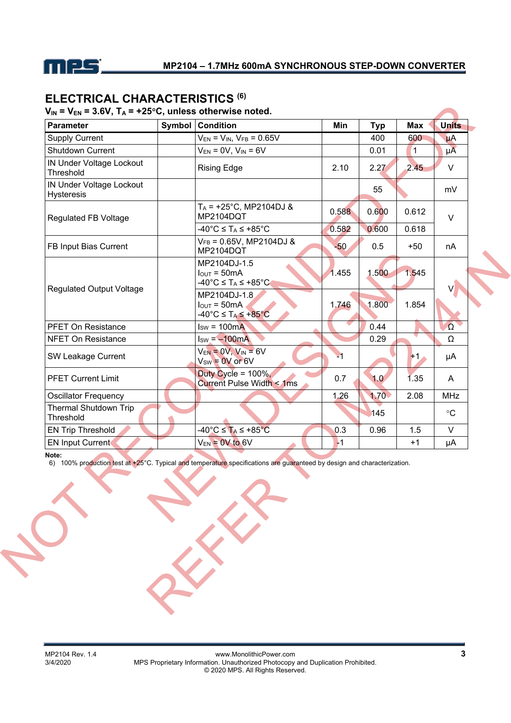

# **ELECTRICAL CHARACTERISTICS (6)**

# $V_{IN}$  =  $V_{EN}$  = 3.6V,  $T_A$  = +25<sup>o</sup>C, unless otherwise noted.

| <b>Parameter</b>                                     | Symbol | <b>Condition</b>                                                                                                 | <b>Min</b> | <b>Typ</b> | <b>Max</b>     | <b>Units</b>    |
|------------------------------------------------------|--------|------------------------------------------------------------------------------------------------------------------|------------|------------|----------------|-----------------|
| <b>Supply Current</b>                                |        | $V_{EN} = V_{IN}$ , $V_{FB} = 0.65V$                                                                             |            | 400        | 600            | $\mu$ A         |
| <b>Shutdown Current</b>                              |        | $V_{EN} = 0V$ , $V_{IN} = 6V$                                                                                    |            | 0.01       | $\overline{1}$ | $\mu$ A         |
| <b>IN Under Voltage Lockout</b><br>Threshold         |        | <b>Rising Edge</b>                                                                                               | 2.10       | 2.27       | 2.45           | V               |
| <b>IN Under Voltage Lockout</b><br><b>Hysteresis</b> |        |                                                                                                                  |            | 55         |                | mV              |
| <b>Regulated FB Voltage</b>                          |        | $T_A$ = +25°C, MP2104DJ &<br>MP2104DQT                                                                           | 0.588      | 0.600      | 0.612          | $\vee$          |
|                                                      |        | $-40^{\circ}$ C ≤ T <sub>A</sub> ≤ +85 $^{\circ}$ C                                                              | 0.582      | 0.600      | 0.618          |                 |
| FB Input Bias Current                                |        | $V_{FB} = 0.65V$ , MP2104DJ &<br>MP2104DQT                                                                       | $-50$      | 0.5        | $+50$          | nA              |
|                                                      |        | MP2104DJ-1.5<br>$IOUT = 50mA$<br>$-40^{\circ}$ C ≤ T <sub>A</sub> ≤ +85°C                                        | 1.455      | 1.500      | 1.545          |                 |
| <b>Regulated Output Voltage</b>                      |        | MP2104DJ-1.8<br>$I_{\text{OUT}} = 50 \text{mA}$<br>$-40^{\circ}$ C $\leq$ T <sub>A</sub> $\leq$ +85 $^{\circ}$ C | 1.746      | 1.800      | 1.854          |                 |
| <b>PFET On Resistance</b>                            |        | $Isw = 100mA$                                                                                                    |            | 0.44       |                | $\Omega$        |
| <b>NFET On Resistance</b>                            |        | $I_{SW} = -100mA$                                                                                                |            | 0.29       |                | Ω               |
| SW Leakage Current                                   |        | $V_{EN} = 0V$ , $V_{IN} = 6V$<br>$V_{SW} = 0V$ or 6V                                                             | ⊻1         |            | $+1.$          | μA              |
| <b>PFET Current Limit</b>                            |        | Duty Cycle = $100\%$ ,<br>Current Pulse Width < 1ms                                                              | 0.7        | 1.0        | 1.35           | A               |
| <b>Oscillator Frequency</b>                          |        |                                                                                                                  | 1.26       | 1.70       | 2.08           | <b>MHz</b>      |
| <b>Thermal Shutdown Trip</b><br>Threshold            |        |                                                                                                                  |            | 145        |                | $\rm ^{\circ}C$ |
| <b>EN Trip Threshold</b>                             |        | $-40^{\circ}$ C $\leq$ T <sub>A</sub> $\leq$ +85 $^{\circ}$ C                                                    | 0.3        | 0.96       | 1.5            | V               |
| <b>EN Input Current</b>                              |        | $V_{EN}$ = 0V to 6V                                                                                              | $-1$       |            | $+1$           | μA              |

**Note:** 

6) 100% production test at +25°C. Typical and temperature specifications are guaranteed by design and characterization.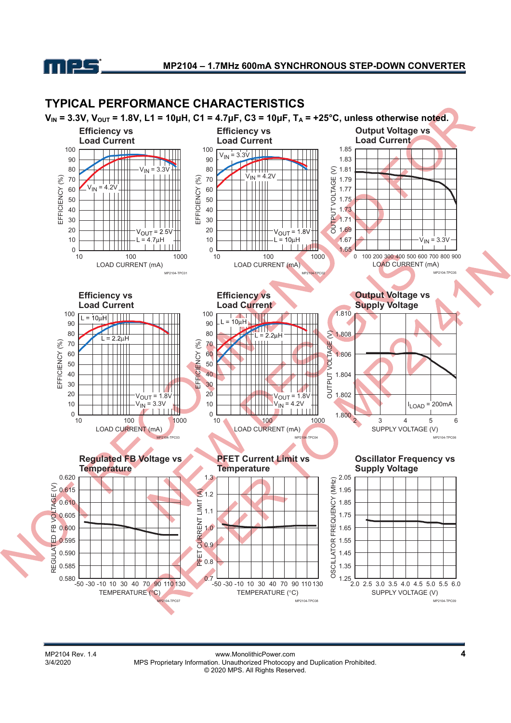

# **TYPICAL PERFORMANCE CHARACTERISTICS**

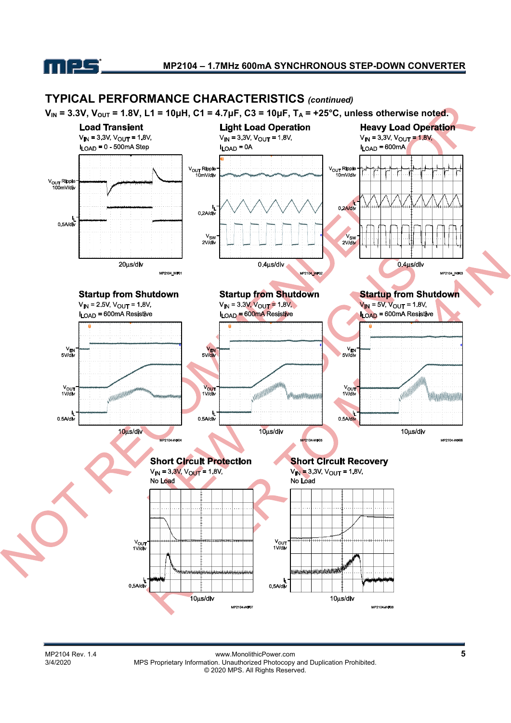



MP2104 Rev. 1.4 **MPS Proprietary Information.** Unauthorized Photocopy and Duplication Prohibited.<br>3/4/2020 MPS Proprietary Information. Unauthorized Photocopy and Duplication Prohibited. MPS Proprietary Information. Unauthorized Photocopy and Duplication Prohibited. © 2020 MPS. All Rights Reserved.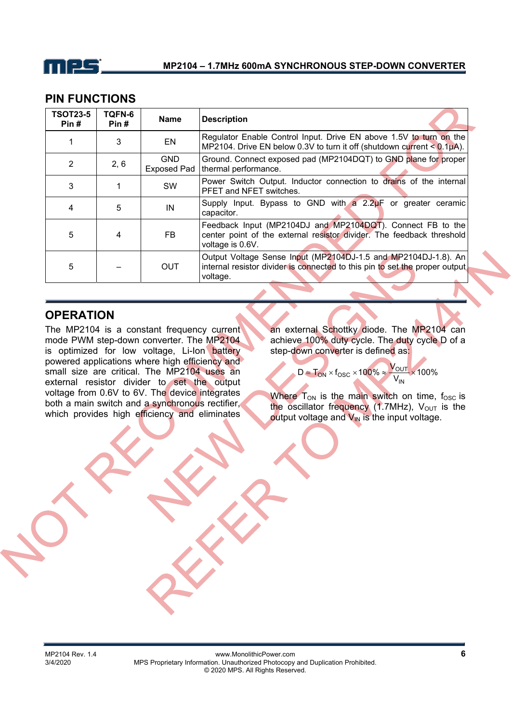

## **PIN FUNCTIONS**

| <b>TSOT23-5</b><br>Pin# | TQFN-6<br>Pin# | <b>Name</b>                      | <b>Description</b>                                                                                                                                         |
|-------------------------|----------------|----------------------------------|------------------------------------------------------------------------------------------------------------------------------------------------------------|
|                         | 3              | EN                               | Regulator Enable Control Input. Drive EN above 1.5V to turn on the<br>MP2104. Drive EN below 0.3V to turn it off (shutdown current $< 0.1\mu$ A).          |
| $\overline{2}$          | 2, 6           | <b>GND</b><br><b>Exposed Pad</b> | Ground. Connect exposed pad (MP2104DQT) to GND plane for proper<br>thermal performance.                                                                    |
| 3                       |                | <b>SW</b>                        | Power Switch Output. Inductor connection to drains of the internal<br>PFET and NFET switches.                                                              |
| 4                       | 5              | IN                               | Supply Input. Bypass to GND with a 2.2uF or greater ceramic<br>capacitor.                                                                                  |
| 5                       | $\overline{4}$ | FB.                              | Feedback Input (MP2104DJ and MP2104DQT). Connect FB to the<br>center point of the external resistor divider. The feedback threshold<br>voltage is 0.6V.    |
| 5                       |                | <b>OUT</b>                       | Output Voltage Sense Input (MP2104DJ-1.5 and MP2104DJ-1.8). An<br>internal resistor divider is connected to this pin to set the proper output.<br>voltage. |

# **OPERATION**

The MP2104 is a constant frequency current mode PWM step-down converter. The MP2104 is optimized for low voltage, Li-Ion battery powered applications where high efficiency and small size are critical. The MP2104 uses an external resistor divider to set the output voltage from 0.6V to 6V. The device integrates both a main switch and a synchronous rectifier, which provides high efficiency and eliminates

an external Schottky diode. The MP2104 can achieve 100% duty cycle. The duty cycle D of a step-down converter is defined as:

> $\frac{V_{\rm{OUI}}}{V_{\rm{IN}}}$   $\times$  100%  $D = T_{ON} \times f_{OSC} \times 100\% \approx \frac{V_{OUT}}{V} \times$ OUT

Where  $T_{ON}$  is the main switch on time,  $f_{OSC}$  is the oscillator frequency (1.7MHz), Vout is the output voltage and  $V_{IN}$  is the input voltage.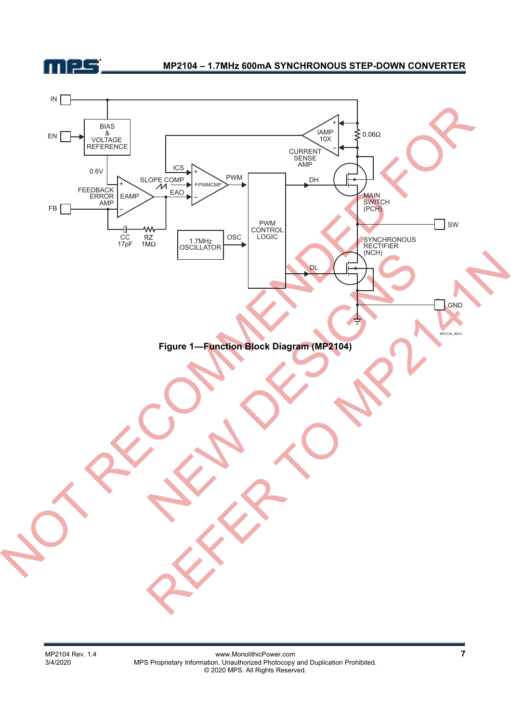

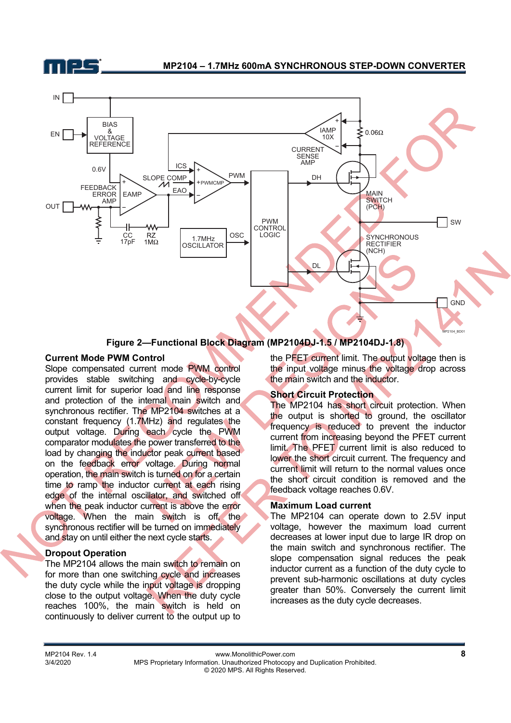



#### **Figure 2—Functional Block Diagram (MP2104DJ-1.5 / MP2104DJ-1.8)**

#### **Current Mode PWM Control**

Slope compensated current mode PWM control provides stable switching and cycle-by-cycle current limit for superior load and line response and protection of the internal main switch and synchronous rectifier. The MP2104 switches at a constant frequency (1.7MHz) and regulates the output voltage. During each cycle the PWM comparator modulates the power transferred to the load by changing the inductor peak current based on the feedback error voltage. During normal operation, the main switch is turned on for a certain time to ramp the inductor current at each rising edge of the internal oscillator, and switched off when the peak inductor current is above the error voltage. When the main switch is off, the synchronous rectifier will be turned on immediately and stay on until either the next cycle starts.

#### **Dropout Operation**

The MP2104 allows the main switch to remain on for more than one switching cycle and increases the duty cycle while the input voltage is dropping close to the output voltage. When the duty cycle reaches 100%, the main switch is held on continuously to deliver current to the output up to

the PFET current limit. The output voltage then is the input voltage minus the voltage drop across the main switch and the inductor.

#### **Short Circuit Protection**

The MP2104 has short circuit protection. When the output is shorted to ground, the oscillator frequency is reduced to prevent the inductor current from increasing beyond the PFET current limit. The PFET current limit is also reduced to lower the short circuit current. The frequency and current limit will return to the normal values once the short circuit condition is removed and the feedback voltage reaches 0.6V.

#### **Maximum Load current**

The MP2104 can operate down to 2.5V input voltage, however the maximum load current decreases at lower input due to large IR drop on the main switch and synchronous rectifier. The slope compensation signal reduces the peak inductor current as a function of the duty cycle to prevent sub-harmonic oscillations at duty cycles greater than 50%. Conversely the current limit increases as the duty cycle decreases.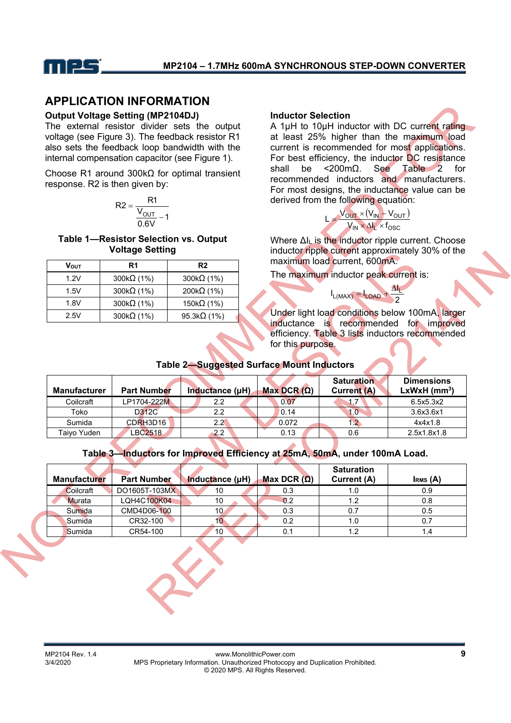

# **APPLICATION INFORMATION**

#### **Output Voltage Setting (MP2104DJ)**

The external resistor divider sets the output voltage (see Figure 3). The feedback resistor R1 also sets the feedback loop bandwidth with the internal compensation capacitor (see Figure 1).

Choose R1 around 300kΩ for optimal transient response. R2 is then given by:

$$
R2 = \frac{R1}{\frac{V_{OUT}}{0.6V} - 1}
$$

**Table 1—Resistor Selection vs. Output Voltage Setting** 

| Vout | R1                 | R <sub>2</sub>      |
|------|--------------------|---------------------|
| 1.2V | 300 $k\Omega$ (1%) | 300 $k\Omega$ (1%)  |
| 1.5V | 300 $k\Omega$ (1%) | 200k $\Omega$ (1%)  |
| 1.8V | 300 $k\Omega$ (1%) | 150k $\Omega$ (1%)  |
| 2.5V | 300 $k\Omega$ (1%) | 95.3k $\Omega$ (1%) |

#### **Inductor Selection**

A 1μH to 10μH inductor with DC current rating at least 25% higher than the maximum load current is recommended for most applications. For best efficiency, the inductor DC resistance shall be <200mΩ. See Table 2 for recommended inductors and manufacturers. For most designs, the inductance value can be derived from the following equation:

$$
L = \frac{V_{OUT} \times (V_{IN} + V_{OUT})}{V_{IN} \times \Delta I_L \times f_{OSC}}
$$

Where ΔI<sub>L</sub> is the inductor ripple current. Choose inductor ripple current approximately 30% of the maximum load current, 600mA.

The maximum inductor peak current is:

2  $I_{L(MAX)} = I_{LOAD} + \frac{\Delta I_L}{2}$  $\Lambda$ 

Under light load conditions below 100mA, larger inductance is recommended for improved efficiency. Table 3 lists inductors recommended for this purpose.

## **Table 2—Suggested Surface Mount Inductors**

| <b>Manufacturer</b> | <b>Part Number</b> | Inductance (µH)  | Max DCR $(\Omega)$ | <b>Saturation</b><br><b>Current (A)</b> | <b>Dimensions</b><br>$LxWxH$ (mm <sup>3</sup> ) |
|---------------------|--------------------|------------------|--------------------|-----------------------------------------|-------------------------------------------------|
| Coilcraft           | LP1704-222M        | $2.2\phantom{0}$ | 0.07               | d. i                                    | 6.5x5.3x2                                       |
| Toko                | D312C              | 2.2              | 0.14               | 1.0                                     | 3.6x3.6x1                                       |
| Sumida              | CDRH3D16           | 2.2 <sub>0</sub> | 0.072              |                                         | 4x4x1.8                                         |
| Taiyo Yuden         | LBC2518            | 2.2              | 0.13               | 0.6                                     | 2.5x1.8x1.8                                     |
|                     |                    |                  |                    |                                         |                                                 |

### **Table 3—Inductors for Improved Efficiency at 25mA, 50mA, under 100mA Load.**

| <b>Manufacturer</b> | <b>Part Number</b> | Inductance (µH) | Max DCR $(\Omega)$ | <b>Saturation</b><br>Current (A) | I <sub>RMS</sub> (A) |
|---------------------|--------------------|-----------------|--------------------|----------------------------------|----------------------|
| Coilcraft           | DO1605T-103MX      | 10              | 0.3                | 1.0                              | 0.9                  |
| <b>Murata</b>       | LQH4C100K04        | 10              | 0.2                | 1.2                              | 0.8                  |
| Sumida              | CMD4D06-100        | 10 <sub>1</sub> | 0.3                | 0.7                              | 0.5                  |
| Sumida              | CR32-100           | 10              | 0.2                | 1.0                              | 0.7                  |
| Sumida              | CR54-100           | 10              | 0.                 | 1.2                              |                      |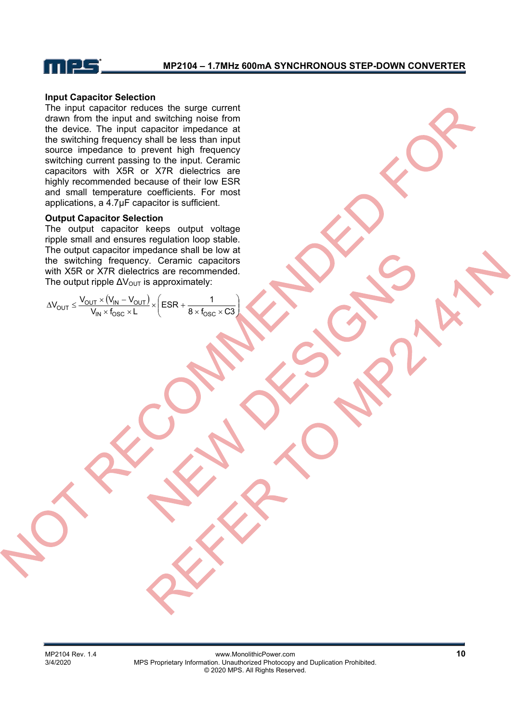

#### **Input Capacitor Selection**

The input capacitor reduces the surge current drawn from the input and switching noise from the device. The input capacitor impedance at the switching frequency shall be less than input source impedance to prevent high frequency switching current passing to the input. Ceramic capacitors with X5R or X7R dielectrics are highly recommended because of their low ESR and small temperature coefficients. For most applications, a 4.7μF capacitor is sufficient.

#### **Output Capacitor Selection**

The output capacitor keeps output voltage ripple small and ensures regulation loop stable. The output capacitor impedance shall be low at the switching frequency. Ceramic capacitors with X5R or X7R dielectrics are recommended. The output ripple  $\Delta V_{\text{OUT}}$  is approximately:

$$
\Delta V_{OUT} \leq \frac{V_{OUT} \times (V_{IN} - V_{OUT})}{V_{IN} \times f_{OSC} \times L} \times \left(ESR + \frac{1}{8 \times f_{OSC} \times C3}\right)
$$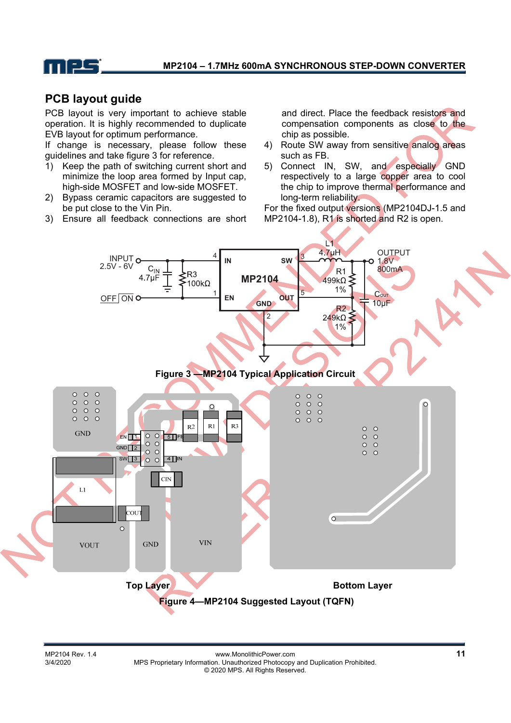

# **PCB layout guide**

PCB layout is very important to achieve stable operation. It is highly recommended to duplicate EVB layout for optimum performance.

If change is necessary, please follow these guidelines and take figure 3 for reference.

- 1) Keep the path of switching current short and minimize the loop area formed by Input cap, high-side MOSFET and low-side MOSFET.
- 2) Bypass ceramic capacitors are suggested to be put close to the Vin Pin.
- 3) Ensure all feedback connections are short

and direct. Place the feedback resistors and compensation components as close to the chip as possible.

- 4) Route SW away from sensitive analog areas such as FB.
- 5) Connect IN, SW, and especially GND respectively to a large copper area to cool the chip to improve thermal performance and long-term reliability.

For the fixed output versions (MP2104DJ-1.5 and MP2104-1.8), R1 is shorted and R2 is open.

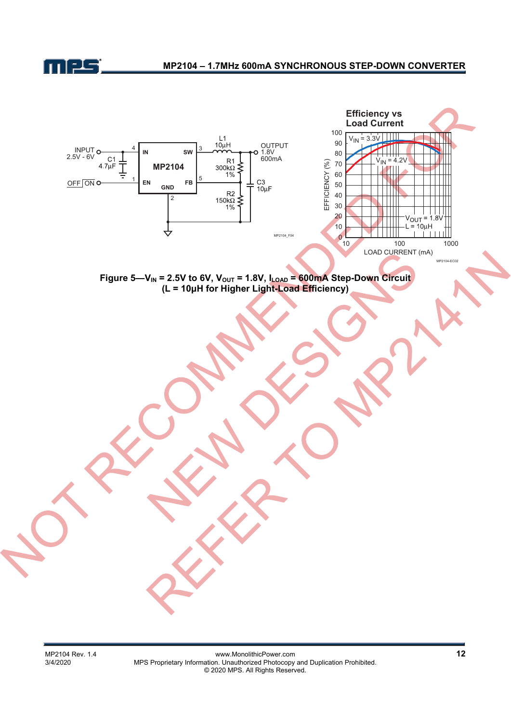

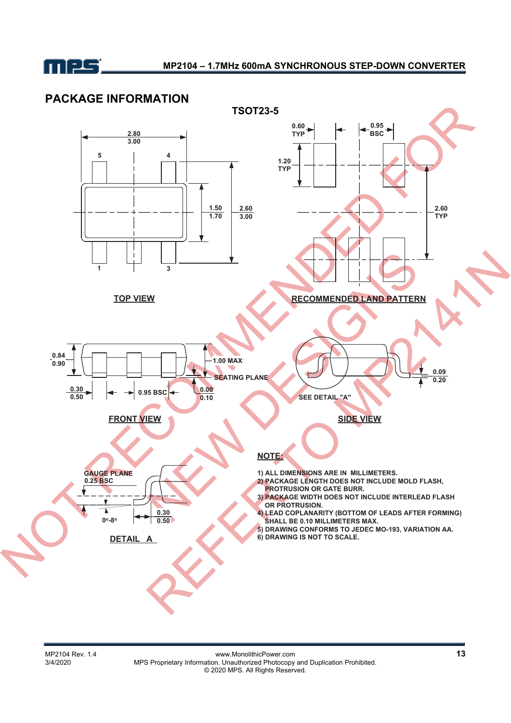

# **PACKAGE INFORMATION**